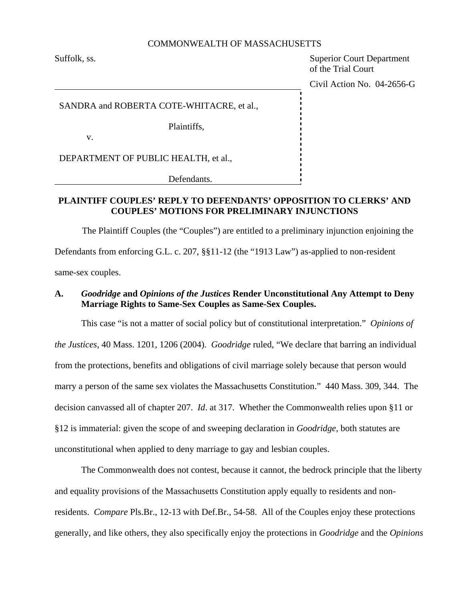### COMMONWEALTH OF MASSACHUSETTS

Suffolk, ss. Superior Court Department of the Trial Court

Civil Action No. 04-2656-G

SANDRA and ROBERTA COTE-WHITACRE, et al.,

Plaintiffs,

v.

DEPARTMENT OF PUBLIC HEALTH, et al.,

Defendants.

## **PLAINTIFF COUPLES' REPLY TO DEFENDANTS' OPPOSITION TO CLERKS' AND COUPLES' MOTIONS FOR PRELIMINARY INJUNCTIONS**

The Plaintiff Couples (the "Couples") are entitled to a preliminary injunction enjoining the Defendants from enforcing G.L. c. 207, §§11-12 (the "1913 Law") as-applied to non-resident same-sex couples.

# **A.** *Goodridge* **and** *Opinions of the Justices* **Render Unconstitutional Any Attempt to Deny Marriage Rights to Same-Sex Couples as Same-Sex Couples.**

This case "is not a matter of social policy but of constitutional interpretation." *Opinions of the Justices*, 40 Mass. 1201, 1206 (2004). *Goodridge* ruled, "We declare that barring an individual from the protections, benefits and obligations of civil marriage solely because that person would marry a person of the same sex violates the Massachusetts Constitution." 440 Mass. 309, 344. The decision canvassed all of chapter 207. *Id*. at 317. Whether the Commonwealth relies upon §11 or §12 is immaterial: given the scope of and sweeping declaration in *Goodridge*, both statutes are unconstitutional when applied to deny marriage to gay and lesbian couples.

The Commonwealth does not contest, because it cannot, the bedrock principle that the liberty and equality provisions of the Massachusetts Constitution apply equally to residents and nonresidents. *Compare* Pls.Br., 12-13 with Def.Br., 54-58. All of the Couples enjoy these protections generally, and like others, they also specifically enjoy the protections in *Goodridge* and the *Opinions*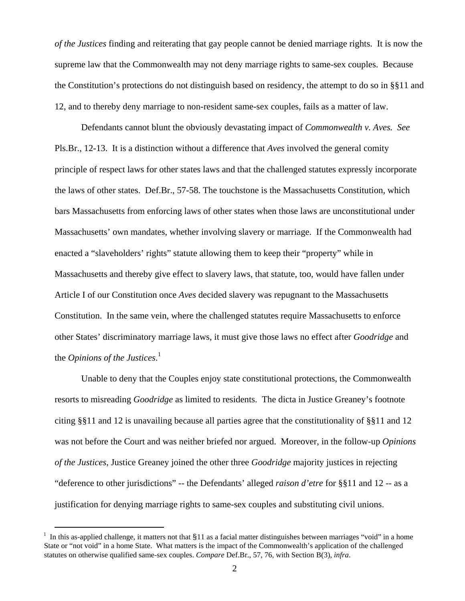*of the Justices* finding and reiterating that gay people cannot be denied marriage rights. It is now the supreme law that the Commonwealth may not deny marriage rights to same-sex couples. Because the Constitution's protections do not distinguish based on residency, the attempt to do so in §§11 and 12, and to thereby deny marriage to non-resident same-sex couples, fails as a matter of law.

Defendants cannot blunt the obviously devastating impact of *Commonwealth v. Aves. See* Pls.Br., 12-13. It is a distinction without a difference that *Aves* involved the general comity principle of respect laws for other states laws and that the challenged statutes expressly incorporate the laws of other states. Def.Br., 57-58. The touchstone is the Massachusetts Constitution, which bars Massachusetts from enforcing laws of other states when those laws are unconstitutional under Massachusetts' own mandates, whether involving slavery or marriage. If the Commonwealth had enacted a "slaveholders' rights" statute allowing them to keep their "property" while in Massachusetts and thereby give effect to slavery laws, that statute, too, would have fallen under Article I of our Constitution once *Aves* decided slavery was repugnant to the Massachusetts Constitution. In the same vein, where the challenged statutes require Massachusetts to enforce other States' discriminatory marriage laws, it must give those laws no effect after *Goodridge* and the *Opinions of the Justices*. [1](#page-1-0)

Unable to deny that the Couples enjoy state constitutional protections, the Commonwealth resorts to misreading *Goodridge* as limited to residents. The dicta in Justice Greaney's footnote citing §§11 and 12 is unavailing because all parties agree that the constitutionality of §§11 and 12 was not before the Court and was neither briefed nor argued. Moreover, in the follow-up *Opinions of the Justices*, Justice Greaney joined the other three *Goodridge* majority justices in rejecting "deference to other jurisdictions" -- the Defendants' alleged *raison d'etre* for §§11 and 12 -- as a justification for denying marriage rights to same-sex couples and substituting civil unions.

<span id="page-1-0"></span><sup>&</sup>lt;sup>1</sup> In this as-applied challenge, it matters not that  $$11$  as a facial matter distinguishes between marriages "void" in a home State or "not void" in a home State. What matters is the impact of the Commonwealth's application of the challenged statutes on otherwise qualified same-sex couples. *Compare* Def.Br., 57, 76, with Section B(3), *infra*.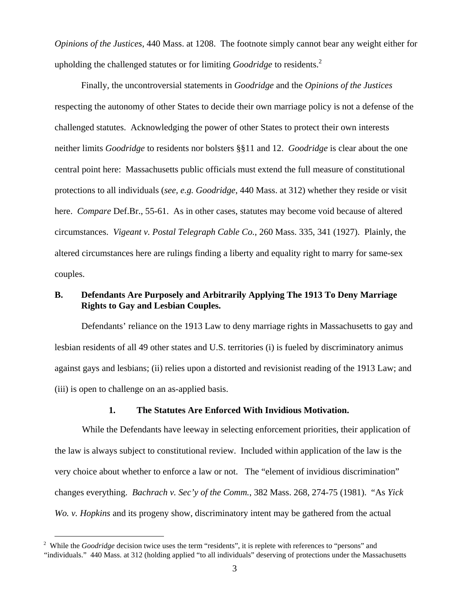<span id="page-2-0"></span>*Opinions of the Justices*, 440 Mass. at 1208. The footnote simply cannot bear any weight either for upholding the challenged statutes or for limiting *Goodridge* to residents.<sup>[2](#page-2-0)</sup>

Finally, the uncontroversial statements in *Goodridge* and the *Opinions of the Justices* respecting the autonomy of other States to decide their own marriage policy is not a defense of the challenged statutes. Acknowledging the power of other States to protect their own interests neither limits *Goodridge* to residents nor bolsters §§11 and 12. *Goodridge* is clear about the one central point here: Massachusetts public officials must extend the full measure of constitutional protections to all individuals (*see, e.g. Goodridge*, 440 Mass. at 312) whether they reside or visit here. *Compare* Def.Br., 55-61. As in other cases, statutes may become void because of altered circumstances. *Vigeant v. Postal Telegraph Cable Co.*, 260 Mass. 335, 341 (1927). Plainly, the altered circumstances here are rulings finding a liberty and equality right to marry for same-sex couples.

## **B. Defendants Are Purposely and Arbitrarily Applying The 1913 To Deny Marriage Rights to Gay and Lesbian Couples.**

Defendants' reliance on the 1913 Law to deny marriage rights in Massachusetts to gay and lesbian residents of all 49 other states and U.S. territories (i) is fueled by discriminatory animus against gays and lesbians; (ii) relies upon a distorted and revisionist reading of the 1913 Law; and (iii) is open to challenge on an as-applied basis.

### **1. The Statutes Are Enforced With Invidious Motivation.**

While the Defendants have leeway in selecting enforcement priorities, their application of the law is always subject to constitutional review. Included within application of the law is the very choice about whether to enforce a law or not. The "element of invidious discrimination" changes everything. *Bachrach v. Sec'y of the Comm.*, 382 Mass. 268, 274-75 (1981). "As *Yick Wo. v. Hopkins* and its progeny show, discriminatory intent may be gathered from the actual

<sup>&</sup>lt;sup>2</sup> While the *Goodridge* decision twice uses the term "residents", it is replete with references to "persons" and "individuals." 440 Mass. at 312 (holding applied "to all individuals" deserving of protections under the Massachusetts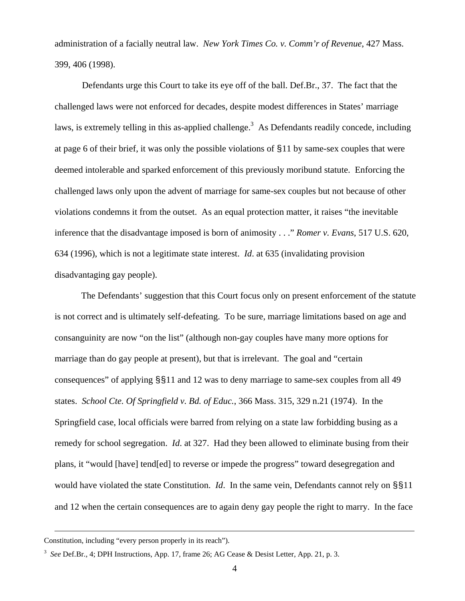administration of a facially neutral law. *New York Times Co. v. Comm'r of Revenue*, 427 Mass. 399, 406 (1998).

 Defendants urge this Court to take its eye off of the ball. Def.Br., 37. The fact that the challenged laws were not enforced for decades, despite modest differences in States' marriage laws, is extremely telling in this as-applied challenge.<sup>[3](#page-3-0)</sup> As Defendants readily concede, including at page 6 of their brief, it was only the possible violations of §11 by same-sex couples that were deemed intolerable and sparked enforcement of this previously moribund statute. Enforcing the challenged laws only upon the advent of marriage for same-sex couples but not because of other violations condemns it from the outset. As an equal protection matter, it raises "the inevitable inference that the disadvantage imposed is born of animosity . . ." *Romer v. Evans*, 517 U.S. 620, 634 (1996), which is not a legitimate state interest. *Id*. at 635 (invalidating provision disadvantaging gay people).

The Defendants' suggestion that this Court focus only on present enforcement of the statute is not correct and is ultimately self-defeating. To be sure, marriage limitations based on age and consanguinity are now "on the list" (although non-gay couples have many more options for marriage than do gay people at present), but that is irrelevant. The goal and "certain consequences" of applying §§11 and 12 was to deny marriage to same-sex couples from all 49 states. *School Cte. Of Springfield v. Bd. of Educ.*, 366 Mass. 315, 329 n.21 (1974). In the Springfield case, local officials were barred from relying on a state law forbidding busing as a remedy for school segregation. *Id*. at 327. Had they been allowed to eliminate busing from their plans, it "would [have] tend[ed] to reverse or impede the progress" toward desegregation and would have violated the state Constitution. *Id*. In the same vein, Defendants cannot rely on §§11 and 12 when the certain consequences are to again deny gay people the right to marry. In the face

Constitution, including "every person properly in its reach").

<span id="page-3-0"></span><sup>3</sup> *See* Def.Br., 4; DPH Instructions, App. 17, frame 26; AG Cease & Desist Letter, App. 21, p. 3.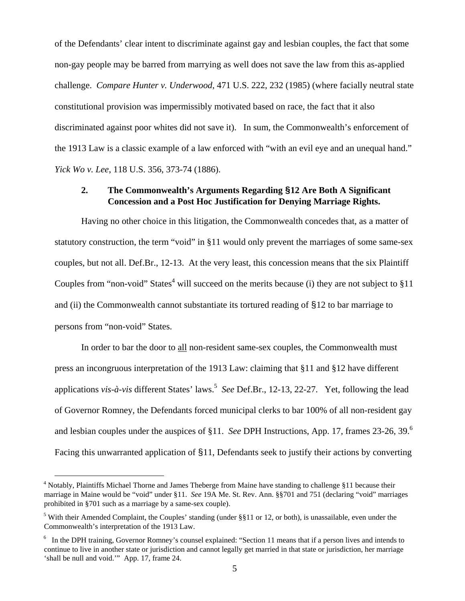of the Defendants' clear intent to discriminate against gay and lesbian couples, the fact that some non-gay people may be barred from marrying as well does not save the law from this as-applied challenge. *Compare Hunter v. Underwood*, 471 U.S. 222, 232 (1985) (where facially neutral state constitutional provision was impermissibly motivated based on race, the fact that it also discriminated against poor whites did not save it). In sum, the Commonwealth's enforcement of the 1913 Law is a classic example of a law enforced with "with an evil eye and an unequal hand." *Yick Wo v. Lee*, 118 U.S. 356, 373-74 (1886).

### **2. The Commonwealth's Arguments Regarding §12 Are Both A Significant Concession and a Post Hoc Justification for Denying Marriage Rights.**

Having no other choice in this litigation, the Commonwealth concedes that, as a matter of statutory construction, the term "void" in §11 would only prevent the marriages of some same-sex couples, but not all. Def.Br., 12-13. At the very least, this concession means that the six Plaintiff Couples from "non-void" States<sup>[4](#page-4-0)</sup> will succeed on the merits because (i) they are not subject to  $§11$ and (ii) the Commonwealth cannot substantiate its tortured reading of §12 to bar marriage to persons from "non-void" States.

In order to bar the door to all non-resident same-sex couples, the Commonwealth must press an incongruous interpretation of the 1913 Law: claiming that §11 and §12 have different applications *vis-à-vis* different States' laws.<sup>5</sup> See Def.Br., 12-13, 22-27. Yet, following the lead of Governor Romney, the Defendants forced municipal clerks to bar 100% of all non-resident gay and lesbian couples under the auspices of §11. *See* DPH Instructions, App. 17, frames 23-26, 39.[6](#page-4-2) Facing this unwarranted application of §11, Defendants seek to justify their actions by converting

<span id="page-4-0"></span> <sup>4</sup> Notably, Plaintiffs Michael Thorne and James Theberge from Maine have standing to challenge §11 because their marriage in Maine would be "void" under §11. *See* 19A Me. St. Rev. Ann. §§701 and 751 (declaring "void" marriages prohibited in §701 such as a marriage by a same-sex couple).

<span id="page-4-1"></span><sup>&</sup>lt;sup>5</sup> With their Amended Complaint, the Couples' standing (under  $\S$ §11 or 12, or both), is unassailable, even under the Commonwealth's interpretation of the 1913 Law.

<span id="page-4-2"></span><sup>&</sup>lt;sup>6</sup> In the DPH training, Governor Romney's counsel explained: "Section 11 means that if a person lives and intends to continue to live in another state or jurisdiction and cannot legally get married in that state or jurisdiction, her marriage 'shall be null and void.'" App. 17, frame 24.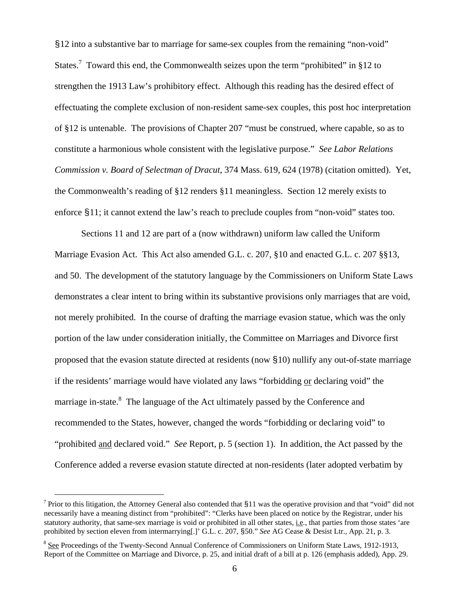§12 into a substantive bar to marriage for same-sex couples from the remaining "non-void" States.<sup>[7](#page-5-0)</sup> Toward this end, the Commonwealth seizes upon the term "prohibited" in §12 to strengthen the 1913 Law's prohibitory effect. Although this reading has the desired effect of effectuating the complete exclusion of non-resident same-sex couples, this post hoc interpretation of §12 is untenable. The provisions of Chapter 207 "must be construed, where capable, so as to constitute a harmonious whole consistent with the legislative purpose." *See Labor Relations Commission v. Board of Selectman of Dracut*, 374 Mass. 619, 624 (1978) (citation omitted). Yet, the Commonwealth's reading of §12 renders §11 meaningless. Section 12 merely exists to enforce §11; it cannot extend the law's reach to preclude couples from "non-void" states too.

Sections 11 and 12 are part of a (now withdrawn) uniform law called the Uniform Marriage Evasion Act. This Act also amended G.L. c. 207, §10 and enacted G.L. c. 207 §§13, and 50. The development of the statutory language by the Commissioners on Uniform State Laws demonstrates a clear intent to bring within its substantive provisions only marriages that are void, not merely prohibited. In the course of drafting the marriage evasion statue, which was the only portion of the law under consideration initially, the Committee on Marriages and Divorce first proposed that the evasion statute directed at residents (now §10) nullify any out-of-state marriage if the residents' marriage would have violated any laws "forbidding or declaring void" the marriage in-state.<sup>8</sup> The language of the Act ultimately passed by the Conference and recommended to the States, however, changed the words "forbidding or declaring void" to "prohibited and declared void." *See* Report, p. 5 (section 1). In addition, the Act passed by the Conference added a reverse evasion statute directed at non-residents (later adopted verbatim by

<span id="page-5-0"></span>Terior to this litigation, the Attorney General also contended that §11 was the operative provision and that "void" did not necessarily have a meaning distinct from "prohibited": "Clerks have been placed on notice by the Registrar, under his statutory authority, that same-sex marriage is void or prohibited in all other states, i.e*.*, that parties from those states 'are prohibited by section eleven from intermarrying[.]' G.L. c. 207, §50." *See* AG Cease & Desist Ltr.*,* App. 21, p. 3.

<span id="page-5-1"></span><sup>&</sup>lt;sup>8</sup> See Proceedings of the Twenty-Second Annual Conference of Commissioners on Uniform State Laws, 1912-1913, Report of the Committee on Marriage and Divorce, p. 25, and initial draft of a bill at p. 126 (emphasis added), App. 29.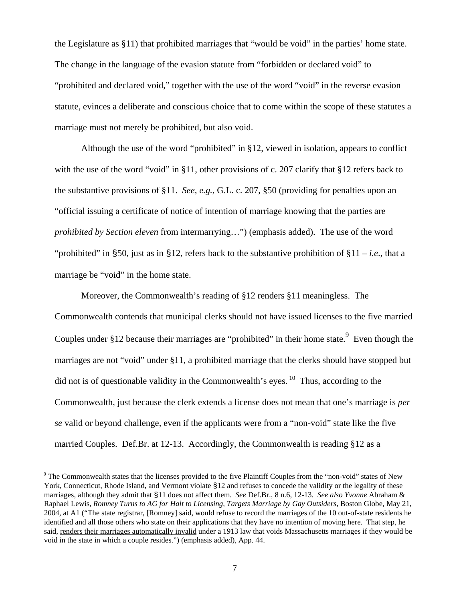the Legislature as §11) that prohibited marriages that "would be void" in the parties' home state. The change in the language of the evasion statute from "forbidden or declared void" to "prohibited and declared void," together with the use of the word "void" in the reverse evasion statute, evinces a deliberate and conscious choice that to come within the scope of these statutes a marriage must not merely be prohibited, but also void.

Although the use of the word "prohibited" in §12, viewed in isolation, appears to conflict with the use of the word "void" in §11, other provisions of c. 207 clarify that §12 refers back to the substantive provisions of §11. *See, e.g.,* G.L. c. 207, §50 (providing for penalties upon an "official issuing a certificate of notice of intention of marriage knowing that the parties are *prohibited by Section eleven* from intermarrying…") (emphasis added). The use of the word "prohibited" in §50, just as in §12, refers back to the substantive prohibition of §11 – *i.e.*, that a marriage be "void" in the home state.

Moreover, the Commonwealth's reading of §12 renders §11 meaningless. The Commonwealth contends that municipal clerks should not have issued licenses to the five married Couples under §12 because their marriages are "prohibited" in their home state. <sup>[9](#page-6-0)</sup> Even though the marriages are not "void" under §11, a prohibited marriage that the clerks should have stopped but did not is of questionable validity in the Commonwealth's eyes.  $\frac{10}{10}$  Thus, according to the Commonwealth, just because the clerk extends a license does not mean that one's marriage is *per se* valid or beyond challenge, even if the applicants were from a "non-void" state like the five married Couples. Def.Br. at 12-13. Accordingly, the Commonwealth is reading §12 as a

<span id="page-6-1"></span><span id="page-6-0"></span> $9^9$  The Commonwealth states that the licenses provided to the five Plaintiff Couples from the "non-void" states of New York, Connecticut, Rhode Island, and Vermont violate §12 and refuses to concede the validity or the legality of these marriages, although they admit that §11 does not affect them. *See* Def.Br., 8 n.6, 12-13. *See also Yvonne* Abraham & Raphael Lewis, *Romney Turns to AG for Halt to Licensing, Targets Marriage by Gay Outsiders*, Boston Globe, May 21, 2004, at A1 ("The state registrar, [Romney] said, would refuse to record the marriages of the 10 out-of-state residents he identified and all those others who state on their applications that they have no intention of moving here. That step, he said, renders their marriages automatically invalid under a 1913 law that voids Massachusetts marriages if they would be void in the state in which a couple resides.") (emphasis added), App. 44.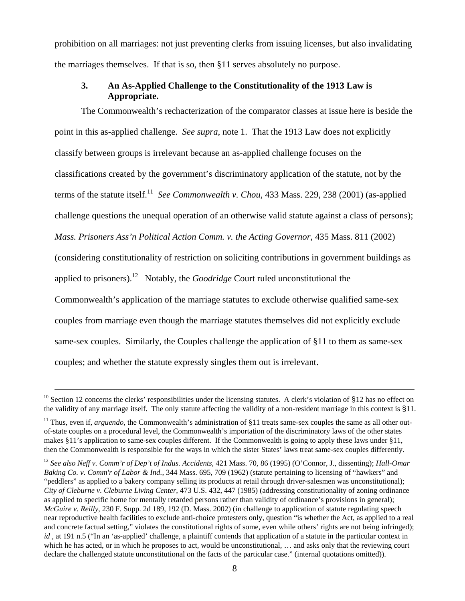prohibition on all marriages: not just preventing clerks from issuing licenses, but also invalidating the marriages themselves. If that is so, then §11 serves absolutely no purpose.

# **3. An As-Applied Challenge to the Constitutionality of the 1913 Law is Appropriate.**

The Commonwealth's rechacterization of the comparator classes at issue here is beside the point in this as-applied challenge. *See supra*, note 1. That the 1913 Law does not explicitly classify between groups is irrelevant because an as-applied challenge focuses on the classifications created by the government's discriminatory application of the statute, not by the terms of the statute itself.[11](#page-7-0) *See Commonwealth v. Chou*, 433 Mass. 229, 238 (2001) (as-applied challenge questions the unequal operation of an otherwise valid statute against a class of persons); *Mass. Prisoners Ass'n Political Action Comm. v. the Acting Governor*, 435 Mass. 811 (2002) (considering constitutionality of restriction on soliciting contributions in government buildings as applied to prisoners).[12](#page-7-1) Notably, the *Goodridge* Court ruled unconstitutional the Commonwealth's application of the marriage statutes to exclude otherwise qualified same-sex couples from marriage even though the marriage statutes themselves did not explicitly exclude same-sex couples. Similarly, the Couples challenge the application of §11 to them as same-sex couples; and whether the statute expressly singles them out is irrelevant.

 $10$  Section 12 concerns the clerks' responsibilities under the licensing statutes. A clerk's violation of  $\S 12$  has no effect on the validity of any marriage itself. The only statute affecting the validity of a non-resident marriage in this context is §11.

<span id="page-7-0"></span><sup>&</sup>lt;sup>11</sup> Thus, even if, *arguendo*, the Commonwealth's administration of §11 treats same-sex couples the same as all other outof-state couples on a procedural level, the Commonwealth's importation of the discriminatory laws of the other states makes §11's application to same-sex couples different. If the Commonwealth is going to apply these laws under §11, then the Commonwealth is responsible for the ways in which the sister States' laws treat same-sex couples differently.

<span id="page-7-1"></span><sup>12</sup> *See also Neff v. Comm'r of Dep't of Indus. Accidents*, 421 Mass. 70, 86 (1995) (O'Connor, J., dissenting); *Hall-Omar Baking Co. v. Comm'r of Labor & Ind.*, 344 Mass. 695, 709 (1962) (statute pertaining to licensing of "hawkers" and "peddlers" as applied to a bakery company selling its products at retail through driver-salesmen was unconstitutional); *City of Cleburne v. Cleburne Living Center*, 473 U.S. 432, 447 (1985) (addressing constitutionality of zoning ordinance as applied to specific home for mentally retarded persons rather than validity of ordinance's provisions in general); *McGuire v. Reilly*, 230 F. Supp. 2d 189, 192 (D. Mass. 2002) (in challenge to application of statute regulating speech near reproductive health facilities to exclude anti-choice protesters only, question "is whether the Act, as applied to a real and concrete factual setting," violates the constitutional rights of some, even while others' rights are not being infringed); *id*, at 191 n.5 ("In an 'as-applied' challenge, a plaintiff contends that application of a statute in the particular context in which he has acted, or in which he proposes to act, would be unconstitutional, ... and asks only that the reviewing court declare the challenged statute unconstitutional on the facts of the particular case." (internal quotations omitted)).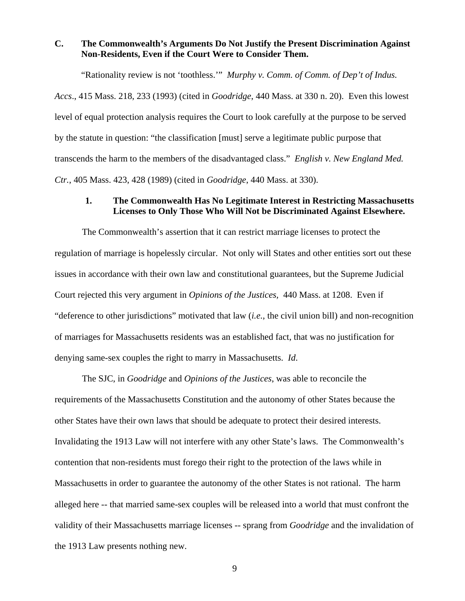# **C. The Commonwealth's Arguments Do Not Justify the Present Discrimination Against Non-Residents, Even if the Court Were to Consider Them.**

"Rationality review is not 'toothless.'" *Murphy v. Comm. of Comm. of Dep't of Indus. Accs*., 415 Mass. 218, 233 (1993) (cited in *Goodridge*, 440 Mass. at 330 n. 20). Even this lowest level of equal protection analysis requires the Court to look carefully at the purpose to be served by the statute in question: "the classification [must] serve a legitimate public purpose that transcends the harm to the members of the disadvantaged class." *English v. New England Med. Ctr.*, 405 Mass. 423, 428 (1989) (cited in *Goodridge*, 440 Mass. at 330).

### **1. The Commonwealth Has No Legitimate Interest in Restricting Massachusetts Licenses to Only Those Who Will Not be Discriminated Against Elsewhere.**

The Commonwealth's assertion that it can restrict marriage licenses to protect the regulation of marriage is hopelessly circular. Not only will States and other entities sort out these issues in accordance with their own law and constitutional guarantees, but the Supreme Judicial Court rejected this very argument in *Opinions of the Justices,* 440 Mass. at 1208. Even if "deference to other jurisdictions" motivated that law (*i.e.*, the civil union bill) and non-recognition of marriages for Massachusetts residents was an established fact, that was no justification for denying same-sex couples the right to marry in Massachusetts. *Id*.

The SJC, in *Goodridge* and *Opinions of the Justices*, was able to reconcile the requirements of the Massachusetts Constitution and the autonomy of other States because the other States have their own laws that should be adequate to protect their desired interests. Invalidating the 1913 Law will not interfere with any other State's laws. The Commonwealth's contention that non-residents must forego their right to the protection of the laws while in Massachusetts in order to guarantee the autonomy of the other States is not rational. The harm alleged here -- that married same-sex couples will be released into a world that must confront the validity of their Massachusetts marriage licenses -- sprang from *Goodridge* and the invalidation of the 1913 Law presents nothing new.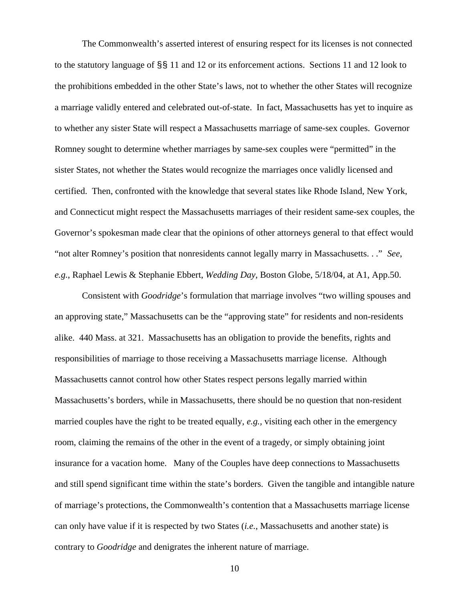The Commonwealth's asserted interest of ensuring respect for its licenses is not connected to the statutory language of §§ 11 and 12 or its enforcement actions. Sections 11 and 12 look to the prohibitions embedded in the other State's laws, not to whether the other States will recognize a marriage validly entered and celebrated out-of-state. In fact, Massachusetts has yet to inquire as to whether any sister State will respect a Massachusetts marriage of same-sex couples. Governor Romney sought to determine whether marriages by same-sex couples were "permitted" in the sister States, not whether the States would recognize the marriages once validly licensed and certified. Then, confronted with the knowledge that several states like Rhode Island, New York, and Connecticut might respect the Massachusetts marriages of their resident same-sex couples, the Governor's spokesman made clear that the opinions of other attorneys general to that effect would "not alter Romney's position that nonresidents cannot legally marry in Massachusetts. . ." *See*, *e.g.*, Raphael Lewis & Stephanie Ebbert, *Wedding Day*, Boston Globe, 5/18/04, at A1, App.50.

Consistent with *Goodridge*'s formulation that marriage involves "two willing spouses and an approving state," Massachusetts can be the "approving state" for residents and non-residents alike. 440 Mass. at 321. Massachusetts has an obligation to provide the benefits, rights and responsibilities of marriage to those receiving a Massachusetts marriage license. Although Massachusetts cannot control how other States respect persons legally married within Massachusetts's borders, while in Massachusetts, there should be no question that non-resident married couples have the right to be treated equally, *e.g.,* visiting each other in the emergency room, claiming the remains of the other in the event of a tragedy, or simply obtaining joint insurance for a vacation home. Many of the Couples have deep connections to Massachusetts and still spend significant time within the state's borders. Given the tangible and intangible nature of marriage's protections, the Commonwealth's contention that a Massachusetts marriage license can only have value if it is respected by two States (*i.e.*, Massachusetts and another state) is contrary to *Goodridge* and denigrates the inherent nature of marriage.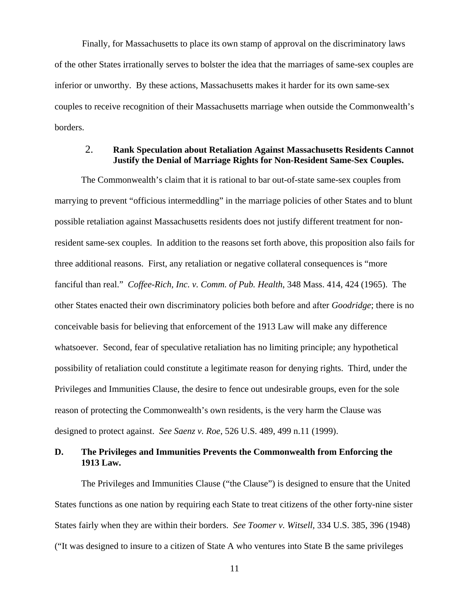Finally, for Massachusetts to place its own stamp of approval on the discriminatory laws of the other States irrationally serves to bolster the idea that the marriages of same-sex couples are inferior or unworthy. By these actions, Massachusetts makes it harder for its own same-sex couples to receive recognition of their Massachusetts marriage when outside the Commonwealth's borders.

## 2. **Rank Speculation about Retaliation Against Massachusetts Residents Cannot Justify the Denial of Marriage Rights for Non-Resident Same-Sex Couples.**

The Commonwealth's claim that it is rational to bar out-of-state same-sex couples from marrying to prevent "officious intermeddling" in the marriage policies of other States and to blunt possible retaliation against Massachusetts residents does not justify different treatment for nonresident same-sex couples. In addition to the reasons set forth above, this proposition also fails for three additional reasons. First, any retaliation or negative collateral consequences is "more fanciful than real." *Coffee-Rich, Inc. v. Comm. of Pub. Health*, 348 Mass. 414, 424 (1965). The other States enacted their own discriminatory policies both before and after *Goodridge*; there is no conceivable basis for believing that enforcement of the 1913 Law will make any difference whatsoever. Second, fear of speculative retaliation has no limiting principle; any hypothetical possibility of retaliation could constitute a legitimate reason for denying rights. Third, under the Privileges and Immunities Clause, the desire to fence out undesirable groups, even for the sole reason of protecting the Commonwealth's own residents, is the very harm the Clause was designed to protect against. *See Saenz v. Roe*, 526 U.S. 489, 499 n.11 (1999).

# **D. The Privileges and Immunities Prevents the Commonwealth from Enforcing the 1913 Law.**

The Privileges and Immunities Clause ("the Clause") is designed to ensure that the United States functions as one nation by requiring each State to treat citizens of the other forty-nine sister States fairly when they are within their borders. *See Toomer v. Witsell,* 334 U.S. 385, 396 (1948) ("It was designed to insure to a citizen of State A who ventures into State B the same privileges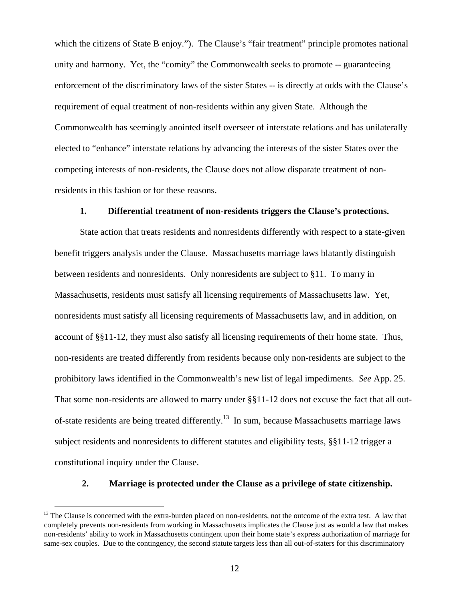<span id="page-11-0"></span>which the citizens of State B enjoy."). The Clause's "fair treatment" principle promotes national unity and harmony. Yet, the "comity" the Commonwealth seeks to promote -- guaranteeing enforcement of the discriminatory laws of the sister States -- is directly at odds with the Clause's requirement of equal treatment of non-residents within any given State. Although the Commonwealth has seemingly anointed itself overseer of interstate relations and has unilaterally elected to "enhance" interstate relations by advancing the interests of the sister States over the competing interests of non-residents, the Clause does not allow disparate treatment of nonresidents in this fashion or for these reasons.

#### **1. Differential treatment of non-residents triggers the Clause's protections.**

State action that treats residents and nonresidents differently with respect to a state-given benefit triggers analysis under the Clause. Massachusetts marriage laws blatantly distinguish between residents and nonresidents. Only nonresidents are subject to §11. To marry in Massachusetts, residents must satisfy all licensing requirements of Massachusetts law. Yet, nonresidents must satisfy all licensing requirements of Massachusetts law, and in addition, on account of §§11-12, they must also satisfy all licensing requirements of their home state. Thus, non-residents are treated differently from residents because only non-residents are subject to the prohibitory laws identified in the Commonwealth's new list of legal impediments. *See* App. 25. That some non-residents are allowed to marry under §§11-12 does not excuse the fact that all outof-state residents are being treated differently[.13](#page-11-0) In sum, because Massachusetts marriage laws subject residents and nonresidents to different statutes and eligibility tests, §§11-12 trigger a constitutional inquiry under the Clause.

#### **2. Marriage is protected under the Clause as a privilege of state citizenship.**

l

<sup>&</sup>lt;sup>13</sup> The Clause is concerned with the extra-burden placed on non-residents, not the outcome of the extra test. A law that completely prevents non-residents from working in Massachusetts implicates the Clause just as would a law that makes non-residents' ability to work in Massachusetts contingent upon their home state's express authorization of marriage for same-sex couples. Due to the contingency, the second statute targets less than all out-of-staters for this discriminatory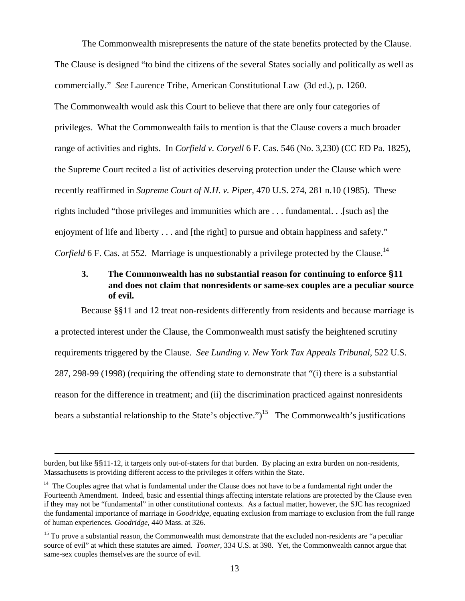The Commonwealth misrepresents the nature of the state benefits protected by the Clause. The Clause is designed "to bind the citizens of the several States socially and politically as well as commercially." *See* Laurence Tribe, American Constitutional Law (3d ed.), p. 1260. The Commonwealth would ask this Court to believe that there are only four categories of privileges. What the Commonwealth fails to mention is that the Clause covers a much broader range of activities and rights. In *Corfield v. Coryell* 6 F. Cas. 546 (No. 3,230) (CC ED Pa. 1825), the Supreme Court recited a list of activities deserving protection under the Clause which were recently reaffirmed in *Supreme Court of N.H. v. Piper,* 470 U.S. 274, 281 n.10 (1985). These rights included "those privileges and immunities which are . . . fundamental. . .[such as] the enjoyment of life and liberty . . . and [the right] to pursue and obtain happiness and safety." *Corfield* 6 F. Cas. at 552. Marriage is unquestionably a privilege protected by the Clause.<sup>[14](#page-12-0)</sup>

# **3. The Commonwealth has no substantial reason for continuing to enforce §11 and does not claim that nonresidents or same-sex couples are a peculiar source of evil.**

Because §§11 and 12 treat non-residents differently from residents and because marriage is a protected interest under the Clause, the Commonwealth must satisfy the heightened scrutiny requirements triggered by the Clause. *See Lunding v. New York Tax Appeals Tribunal*, 522 U.S. 287, 298-99 (1998) (requiring the offending state to demonstrate that "(i) there is a substantial reason for the difference in treatment; and (ii) the discrimination practiced against nonresidents bears a substantial relationship to the State's objective.")<sup>15</sup> The Commonwealth's justifications

burden, but like §§11-12, it targets only out-of-staters for that burden. By placing an extra burden on non-residents, Massachusetts is providing different access to the privileges it offers within the State.

<span id="page-12-0"></span> $14$  The Couples agree that what is fundamental under the Clause does not have to be a fundamental right under the Fourteenth Amendment. Indeed, basic and essential things affecting interstate relations are protected by the Clause even if they may not be "fundamental" in other constitutional contexts. As a factual matter, however, the SJC has recognized the fundamental importance of marriage in *Goodridge,* equating exclusion from marriage to exclusion from the full range of human experiences. *Goodridge*, 440 Mass. at 326.

<span id="page-12-1"></span> $15$  To prove a substantial reason, the Commonwealth must demonstrate that the excluded non-residents are "a peculiar source of evil" at which these statutes are aimed. *Toomer*, 334 U.S. at 398. Yet, the Commonwealth cannot argue that same-sex couples themselves are the source of evil.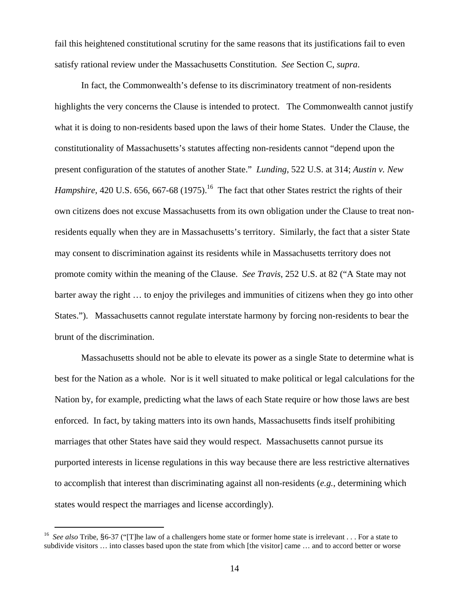<span id="page-13-0"></span>fail this heightened constitutional scrutiny for the same reasons that its justifications fail to even satisfy rational review under the Massachusetts Constitution. *See* Section C, *supra*.

In fact, the Commonwealth's defense to its discriminatory treatment of non-residents highlights the very concerns the Clause is intended to protect. The Commonwealth cannot justify what it is doing to non-residents based upon the laws of their home States. Under the Clause, the constitutionality of Massachusetts's statutes affecting non-residents cannot "depend upon the present configuration of the statutes of another State." *Lunding*, 522 U.S. at 314; *Austin v. New Hampshire*, 420 U.S. 656, 667-68 (1975).<sup>16</sup> The fact that other States restrict the rights of their own citizens does not excuse Massachusetts from its own obligation under the Clause to treat nonresidents equally when they are in Massachusetts's territory. Similarly, the fact that a sister State may consent to discrimination against its residents while in Massachusetts territory does not promote comity within the meaning of the Clause. *See Travis*, 252 U.S. at 82 ("A State may not barter away the right … to enjoy the privileges and immunities of citizens when they go into other States."). Massachusetts cannot regulate interstate harmony by forcing non-residents to bear the brunt of the discrimination.

Massachusetts should not be able to elevate its power as a single State to determine what is best for the Nation as a whole. Nor is it well situated to make political or legal calculations for the Nation by, for example, predicting what the laws of each State require or how those laws are best enforced. In fact, by taking matters into its own hands, Massachusetts finds itself prohibiting marriages that other States have said they would respect. Massachusetts cannot pursue its purported interests in license regulations in this way because there are less restrictive alternatives to accomplish that interest than discriminating against all non-residents (*e.g.*, determining which states would respect the marriages and license accordingly).

<sup>16</sup> *See also* Tribe, §6-37 ("[T]he law of a challengers home state or former home state is irrelevant . . . For a state to subdivide visitors ... into classes based upon the state from which [the visitor] came ... and to accord better or worse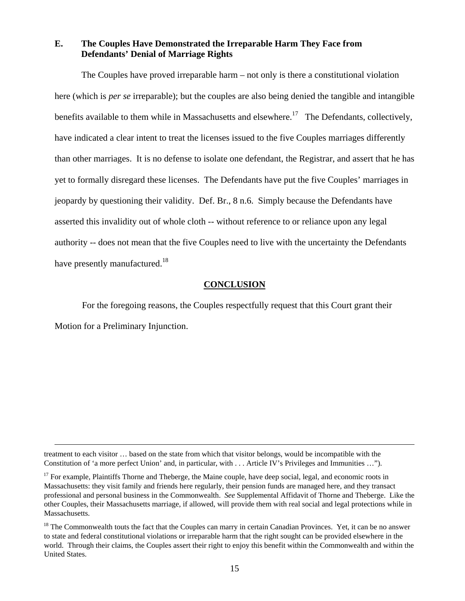## **E. The Couples Have Demonstrated the Irreparable Harm They Face from Defendants' Denial of Marriage Rights**

The Couples have proved irreparable harm – not only is there a constitutional violation here (which is *per se* irreparable); but the couples are also being denied the tangible and intangible benefits available to them while in Massachusetts and elsewhere.<sup>17</sup> The Defendants, collectively, have indicated a clear intent to treat the licenses issued to the five Couples marriages differently than other marriages. It is no defense to isolate one defendant, the Registrar, and assert that he has yet to formally disregard these licenses. The Defendants have put the five Couples' marriages in jeopardy by questioning their validity. Def. Br., 8 n.6. Simply because the Defendants have asserted this invalidity out of whole cloth -- without reference to or reliance upon any legal authority -- does not mean that the five Couples need to live with the uncertainty the Defendants have presently manufactured.<sup>18</sup>

#### **CONCLUSION**

For the foregoing reasons, the Couples respectfully request that this Court grant their Motion for a Preliminary Injunction.

treatment to each visitor … based on the state from which that visitor belongs, would be incompatible with the Constitution of 'a more perfect Union' and, in particular, with . . . Article IV's Privileges and Immunities …").

<span id="page-14-0"></span> $17$  For example, Plaintiffs Thorne and Theberge, the Maine couple, have deep social, legal, and economic roots in Massachusetts: they visit family and friends here regularly, their pension funds are managed here, and they transact professional and personal business in the Commonwealth. *See* Supplemental Affidavit of Thorne and Theberge. Like the other Couples, their Massachusetts marriage, if allowed, will provide them with real social and legal protections while in Massachusetts.

<span id="page-14-1"></span> $18$  The Commonwealth touts the fact that the Couples can marry in certain Canadian Provinces. Yet, it can be no answer to state and federal constitutional violations or irreparable harm that the right sought can be provided elsewhere in the world. Through their claims, the Couples assert their right to enjoy this benefit within the Commonwealth and within the United States.